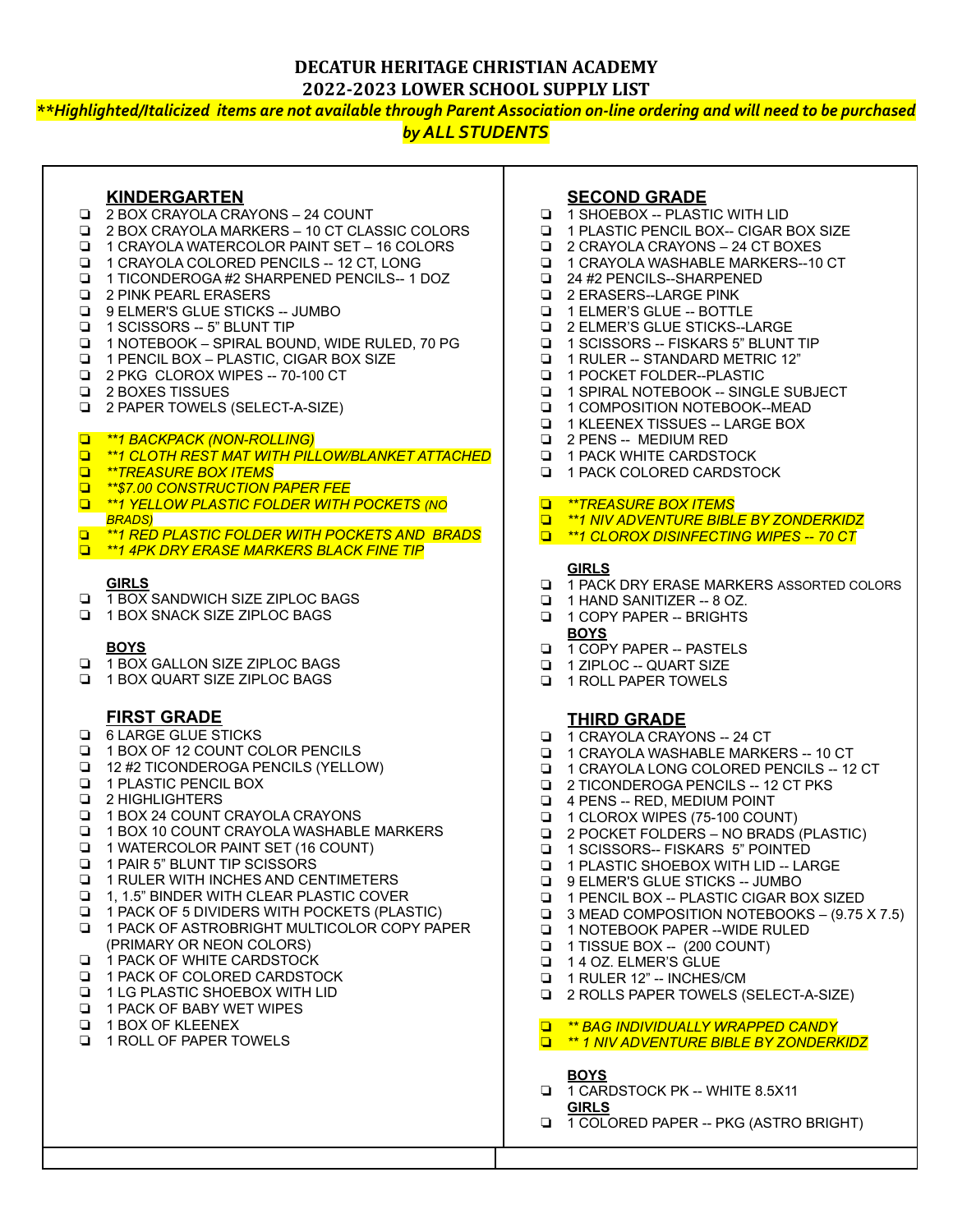### **DECATUR HERITAGE CHRISTIAN ACADEMY 2022-2023 LOWER SCHOOL SUPPLY LIST**

\*\*Highlighted/Italicized items are not available through Parent Association on-line ordering and will need to be purchased

# *by ALL STUDENTS*

### **KINDERGARTEN**

- ❏ 2 BOX CRAYOLA CRAYONS 24 COUNT
- ❏ 2 BOX CRAYOLA MARKERS 10 CT CLASSIC COLORS
- ❏ 1 CRAYOLA WATERCOLOR PAINT SET 16 COLORS
- ❏ 1 CRAYOLA COLORED PENCILS -- 12 CT, LONG
- ❏ 1 TICONDEROGA #2 SHARPENED PENCILS-- 1 DOZ
- ❏ 2 PINK PEARL ERASERS
- ❏ 9 ELMER'S GLUE STICKS -- JUMBO
- ❏ 1 SCISSORS -- 5" BLUNT TIP
- ❏ 1 NOTEBOOK SPIRAL BOUND, WIDE RULED, 70 PG
- ❏ 1 PENCIL BOX PLASTIC, CIGAR BOX SIZE
- ❏ 2 PKG CLOROX WIPES -- 70-100 CT
- ❏ 2 BOXES TISSUES
- ❏ 2 PAPER TOWELS (SELECT-A-SIZE)
- ❏ *\*\*1 BACKPACK (NON-ROLLING)*
- ❏ *\*\*1 CLOTH REST MAT WITH PILLOW/BLANKET ATTACHED*
- ❏ *\*\*TREASURE BOX ITEMS*
- ❏ *\*\*\$7.00 CONSTRUCTION PAPER FEE*
- ❏ *\*\*1 YELLOW PLASTIC FOLDER WITH POCKETS (NO BRADS)*
- ❏ *\*\*1 RED PLASTIC FOLDER WITH POCKETS AND BRADS*
- ❏ *\*\*1 4PK DRY ERASE MARKERS BLACK FINE TIP*

#### **GIRLS**

- ❏ 1 BOX SANDWICH SIZE ZIPLOC BAGS
- ❏ 1 BOX SNACK SIZE ZIPLOC BAGS

#### **BOYS**

- ❏ 1 BOX GALLON SIZE ZIPLOC BAGS
- ❏ 1 BOX QUART SIZE ZIPLOC BAGS

## **FIRST GRADE**

- ❏ 6 LARGE GLUE STICKS
- ❏ 1 BOX OF 12 COUNT COLOR PENCILS
- ❏ 12 #2 TICONDEROGA PENCILS (YELLOW)
- ❏ 1 PLASTIC PENCIL BOX
- ❏ 2 HIGHLIGHTERS
- ❏ 1 BOX 24 COUNT CRAYOLA CRAYONS
- ❏ 1 BOX 10 COUNT CRAYOLA WASHABLE MARKERS
- ❏ 1 WATERCOLOR PAINT SET (16 COUNT)
- ❏ 1 PAIR 5" BLUNT TIP SCISSORS
- ❏ 1 RULER WITH INCHES AND CENTIMETERS
- ❏ 1, 1.5" BINDER WITH CLEAR PLASTIC COVER
- ❏ 1 PACK OF 5 DIVIDERS WITH POCKETS (PLASTIC)
- ❏ 1 PACK OF ASTROBRIGHT MULTICOLOR COPY PAPER (PRIMARY OR NEON COLORS)
- ❏ 1 PACK OF WHITE CARDSTOCK
- ❏ 1 PACK OF COLORED CARDSTOCK
- ❏ 1 LG PLASTIC SHOEBOX WITH LID
- ❏ 1 PACK OF BABY WET WIPES
- ❏ 1 BOX OF KLEENEX
- ❏ 1 ROLL OF PAPER TOWELS

# **SECOND GRADE**

- ❏ 1 SHOEBOX -- PLASTIC WITH LID
- ❏ 1 PLASTIC PENCIL BOX-- CIGAR BOX SIZE
- ❏ 2 CRAYOLA CRAYONS 24 CT BOXES
- ❏ 1 CRAYOLA WASHABLE MARKERS--10 CT
- ❏ 24 #2 PENCILS--SHARPENED
- ❏ 2 ERASERS--LARGE PINK
- ❏ 1 ELMER'S GLUE -- BOTTLE
- ❏ 2 ELMER'S GLUE STICKS--LARGE
- ❏ 1 SCISSORS -- FISKARS 5" BLUNT TIP
- ❏ 1 RULER -- STANDARD METRIC 12"
- ❏ 1 POCKET FOLDER--PLASTIC
- ❏ 1 SPIRAL NOTEBOOK -- SINGLE SUBJECT
- ❏ 1 COMPOSITION NOTEBOOK--MEAD
- ❏ 1 KLEENEX TISSUES -- LARGE BOX
- ❏ 2 PENS -- MEDIUM RED
- ❏ 1 PACK WHITE CARDSTOCK
- ❏ 1 PACK COLORED CARDSTOCK

### ❏ *\*\*TREASURE BOX ITEMS*

- ❏ *\*\*1 NIV ADVENTURE BIBLE BY ZONDERKIDZ*
- ❏ *\*\*1 CLOROX DISINFECTING WIPES -- 70 CT*

#### **GIRLS**

- ❏ 1 PACK DRY ERASE MARKERS ASSORTED COLORS
- ❏ 1 HAND SANITIZER -- 8 OZ.
- ❏ 1 COPY PAPER -- BRIGHTS **BOYS**
- ❏ 1 COPY PAPER -- PASTELS
- ❏ 1 ZIPLOC -- QUART SIZE
- ❏ 1 ROLL PAPER TOWELS

## **THIRD GRADE**

- ❏ 1 CRAYOLA CRAYONS -- 24 CT
- ❏ 1 CRAYOLA WASHABLE MARKERS -- 10 CT
- ❏ 1 CRAYOLA LONG COLORED PENCILS -- 12 CT
- ❏ 2 TICONDEROGA PENCILS -- 12 CT PKS
- ❏ 4 PENS -- RED, MEDIUM POINT
- ❏ 1 CLOROX WIPES (75-100 COUNT)
- ❏ 2 POCKET FOLDERS NO BRADS (PLASTIC)
- ❏ 1 SCISSORS-- FISKARS 5" POINTED
- ❏ 1 PLASTIC SHOEBOX WITH LID -- LARGE
- ❏ 9 ELMER'S GLUE STICKS -- JUMBO
- ❏ 1 PENCIL BOX -- PLASTIC CIGAR BOX SIZED
- ❏ 3 MEAD COMPOSITION NOTEBOOKS (9.75 X 7.5)
- ❏ 1 NOTEBOOK PAPER --WIDE RULED
- ❏ 1 TISSUE BOX -- (200 COUNT)
- ❏ 1 4 OZ. ELMER'S GLUE
- ❏ 1 RULER 12" -- INCHES/CM
- ❏ 2 ROLLS PAPER TOWELS (SELECT-A-SIZE)
- ❏ *\*\* BAG INDIVIDUALLY WRAPPED CANDY*
- ❏ *\*\* 1 NIV ADVENTURE BIBLE BY ZONDERKIDZ*

❏ 1 COLORED PAPER -- PKG (ASTRO BRIGHT)

#### **BOYS**

❏ 1 CARDSTOCK PK -- WHITE 8.5X11 **GIRLS**